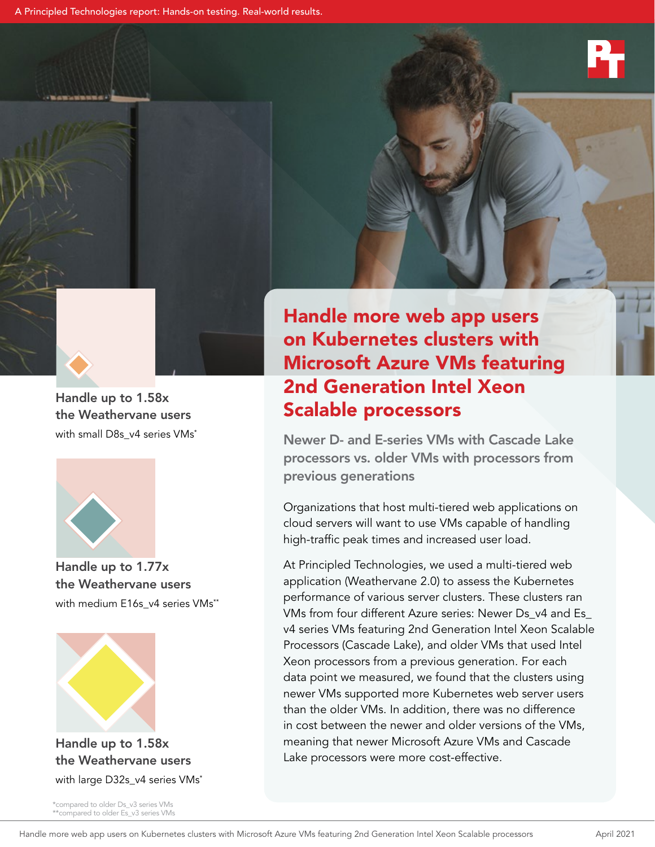A Principled Technologies report: Hands-on testing. Real-world results.







Handle up to 1.77x the Weathervane users with medium E16s\_v4 series VMs\*\*



Handle up to 1.58x the Weathervane users with large D32s\_v4 series VMs<sup>\*</sup>

\*compared to older Ds\_v3 series VMs \*\*compared to older Es\_v3 series VMs Handle more web app users on Kubernetes clusters with Microsoft Azure VMs featuring 2nd Generation Intel Xeon Scalable processors

Newer D- and E-series VMs with Cascade Lake processors vs. older VMs with processors from previous generations

Organizations that host multi-tiered web applications on cloud servers will want to use VMs capable of handling high-traffic peak times and increased user load.

At Principled Technologies, we used a multi-tiered web application (Weathervane 2.0) to assess the Kubernetes performance of various server clusters. These clusters ran VMs from four different Azure series: Newer Ds\_v4 and Es\_ v4 series VMs featuring 2nd Generation Intel Xeon Scalable Processors (Cascade Lake), and older VMs that used Intel Xeon processors from a previous generation. For each data point we measured, we found that the clusters using newer VMs supported more Kubernetes web server users than the older VMs. In addition, there was no difference in cost between the newer and older versions of the VMs, meaning that newer Microsoft Azure VMs and Cascade Lake processors were more cost-effective.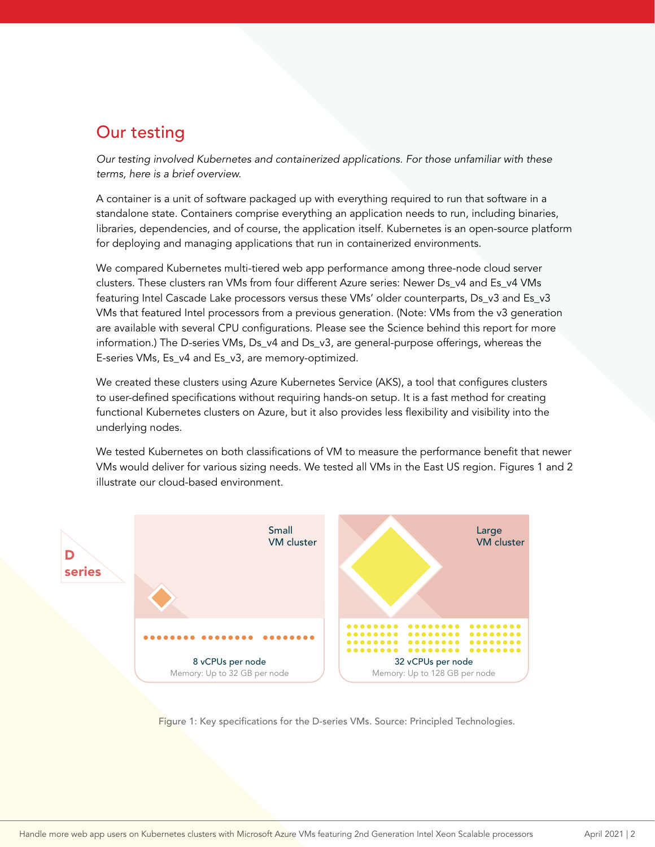## Our testing

*Our testing involved Kubernetes and containerized applications. For those unfamiliar with these terms, here is a brief overview.*

A container is a unit of software packaged up with everything required to run that software in a standalone state. Containers comprise everything an application needs to run, including binaries, libraries, dependencies, and of course, the application itself. Kubernetes is an open-source platform for deploying and managing applications that run in containerized environments.

We compared Kubernetes multi-tiered web app performance among three-node cloud server clusters. These clusters ran VMs from four different Azure series: Newer Ds\_v4 and Es\_v4 VMs featuring Intel Cascade Lake processors versus these VMs' older counterparts, Ds\_v3 and Es\_v3 VMs that featured Intel processors from a previous generation. (Note: VMs from the v3 generation are available with several CPU configurations. Please see the Science behind this report for more information.) The D-series VMs, Ds\_v4 and Ds\_v3, are general-purpose offerings, whereas the E-series VMs, Es\_v4 and Es\_v3, are memory-optimized.

We created these clusters using Azure Kubernetes Service (AKS), a tool that configures clusters to user-defined specifications without requiring hands-on setup. It is a fast method for creating functional Kubernetes clusters on Azure, but it also provides less flexibility and visibility into the underlying nodes.

We tested Kubernetes on both classifications of VM to measure the performance benefit that newer VMs would deliver for various sizing needs. We tested all VMs in the East US region. Figures 1 and 2 illustrate our cloud-based environment.



Figure 1: Key specifications for the D-series VMs. Source: Principled Technologies.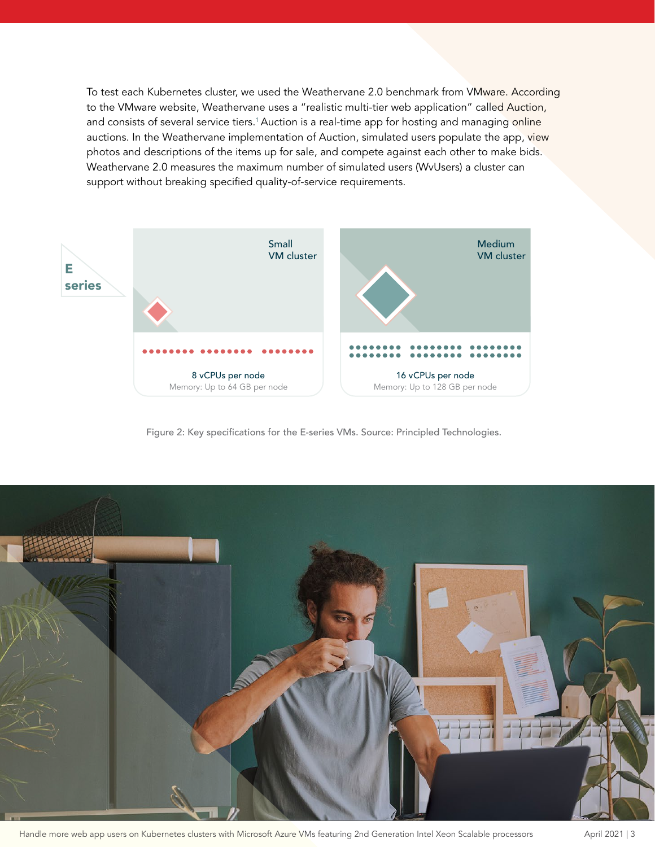To test each Kubernetes cluster, we used the Weathervane 2.0 benchmark from VMware. According to the VMware website, Weathervane uses a "realistic multi-tier web application" called Auction, and consists of several service tiers.<sup>1</sup> Auction is a real-time app for hosting and managing online auctions. In the Weathervane implementation of Auction, simulated users populate the app, view photos and descriptions of the items up for sale, and compete against each other to make bids. Weathervane 2.0 measures the maximum number of simulated users (WvUsers) a cluster can support without breaking specified quality-of-service requirements.



Figure 2: Key specifications for the E-series VMs. Source: Principled Technologies.



Handle more web app users on Kubernetes clusters with Microsoft Azure VMs featuring 2nd Generation Intel Xeon Scalable processors April 2021 | 3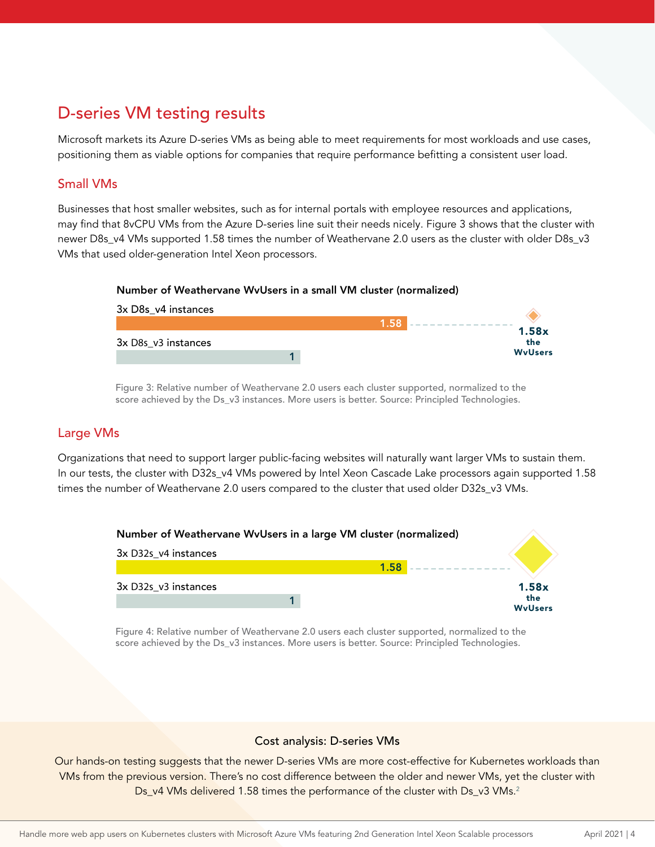# D-series VM testing results

Microsoft markets its Azure D-series VMs as being able to meet requirements for most workloads and use cases, positioning them as viable options for companies that require performance befitting a consistent user load.

## Small VMs

Businesses that host smaller websites, such as for internal portals with employee resources and applications, may find that 8vCPU VMs from the Azure D-series line suit their needs nicely. Figure 3 shows that the cluster with newer D8s\_v4 VMs supported 1.58 times the number of Weathervane 2.0 users as the cluster with older D8s\_v3 VMs that used older-generation Intel Xeon processors.

### Number of Weathervane WvUsers in a small VM cluster (normalized)



Figure 3: Relative number of Weathervane 2.0 users each cluster supported, normalized to the score achieved by the Ds\_v3 instances. More users is better. Source: Principled Technologies.

### Large VMs

Organizations that need to support larger public-facing websites will naturally want larger VMs to sustain them. In our tests, the cluster with D32s\_v4 VMs powered by Intel Xeon Cascade Lake processors again supported 1.58 times the number of Weathervane 2.0 users compared to the cluster that used older D32s\_v3 VMs.



Figure 4: Relative number of Weathervane 2.0 users each cluster supported, normalized to the score achieved by the Ds\_v3 instances. More users is better. Source: Principled Technologies.

### Cost analysis: D-series VMs

Our hands-on testing suggests that the newer D-series VMs are more cost-effective for Kubernetes workloads than VMs from the previous version. There's no cost difference between the older and newer VMs, yet the cluster with Ds\_v4 VMs delivered 1.58 times the performance of the cluster with Ds\_v3 VMs.<sup>2</sup>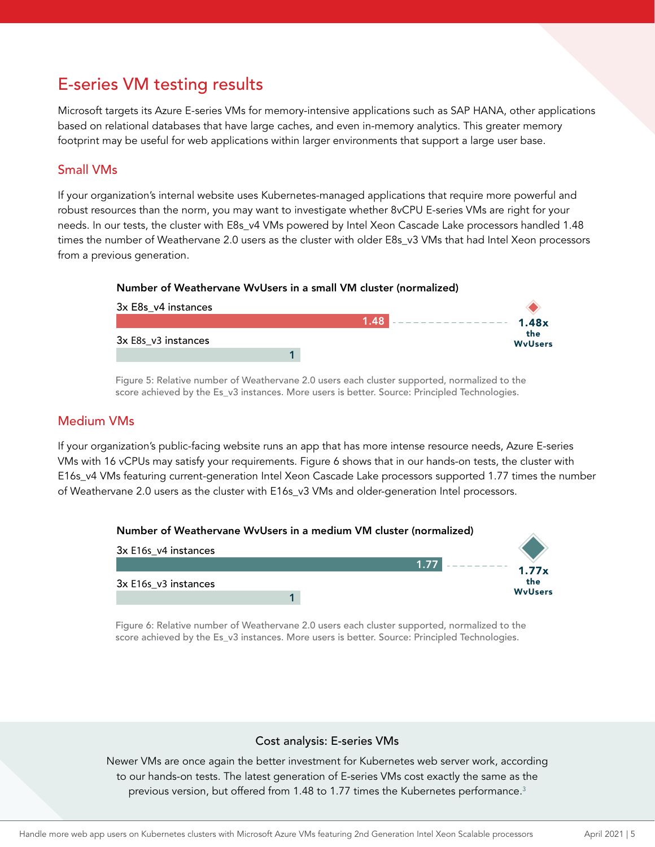# E-series VM testing results

Microsoft targets its Azure E-series VMs for memory-intensive applications such as SAP HANA, other applications based on relational databases that have large caches, and even in-memory analytics. This greater memory footprint may be useful for web applications within larger environments that support a large user base.

## Small VMs

If your organization's internal website uses Kubernetes-managed applications that require more powerful and robust resources than the norm, you may want to investigate whether 8vCPU E-series VMs are right for your needs. In our tests, the cluster with E8s\_v4 VMs powered by Intel Xeon Cascade Lake processors handled 1.48 times the number of Weathervane 2.0 users as the cluster with older E8s\_v3 VMs that had Intel Xeon processors from a previous generation.

#### Number of Weathervane WvUsers in a small VM cluster (normalized)



Figure 5: Relative number of Weathervane 2.0 users each cluster supported, normalized to the score achieved by the Es\_v3 instances. More users is better. Source: Principled Technologies.

### Medium VMs

If your organization's public-facing website runs an app that has more intense resource needs, Azure E-series VMs with 16 vCPUs may satisfy your requirements. Figure 6 shows that in our hands-on tests, the cluster with E16s\_v4 VMs featuring current-generation Intel Xeon Cascade Lake processors supported 1.77 times the number of Weathervane 2.0 users as the cluster with E16s\_v3 VMs and older-generation Intel processors.



Figure 6: Relative number of Weathervane 2.0 users each cluster supported, normalized to the score achieved by the Es\_v3 instances. More users is better. Source: Principled Technologies.

### Cost analysis: E-series VMs

Newer VMs are once again the better investment for Kubernetes web server work, according to our hands-on tests. The latest generation of E-series VMs cost exactly the same as the previous version, but offered from 1.48 to 1.77 times the Kubernetes performance.<sup>3</sup>